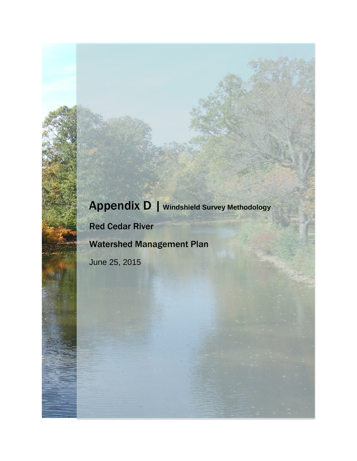## Appendix D | **Windshield Survey Methodology**

Red Cedar River

Watershed Management Plan

June 25, 2015